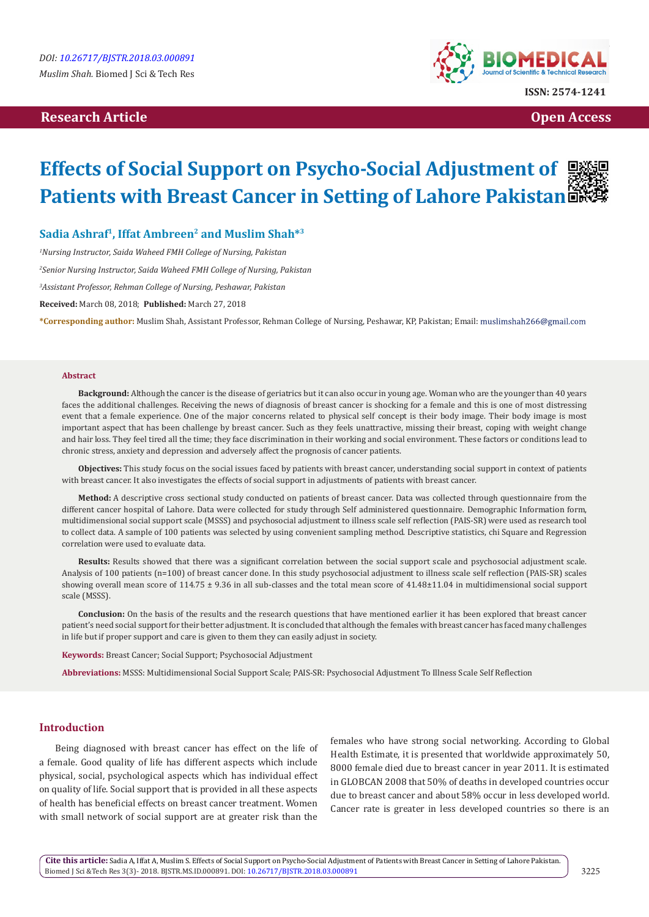# **Research Article Open Access Contract Article Open Access Open Access Open Access**



**ISSN: 2574-1241**

# **Effects of Social Support on Psycho-Social Adjustment of Patients with Breast Cancer in Setting of Lahore Pakistan**

## Sadia Ashraf<sup>1</sup>, Iffat Ambreen<sup>2</sup> and Muslim Shah<sup>\*3</sup>

*1 Nursing Instructor, Saida Waheed FMH College of Nursing, Pakistan*

*2 Senior Nursing Instructor, Saida Waheed FMH College of Nursing, Pakistan*

*3 Assistant Professor, Rehman College of Nursing, Peshawar, Pakistan*

**Received:** March 08, 2018; **Published:** March 27, 2018

**\*Corresponding author:** Muslim Shah, Assistant Professor, Rehman College of Nursing, Peshawar, KP, Pakistan; Email:

#### **Abstract**

**Background:** Although the cancer is the disease of geriatrics but it can also occur in young age. Woman who are the younger than 40 years faces the additional challenges. Receiving the news of diagnosis of breast cancer is shocking for a female and this is one of most distressing event that a female experience. One of the major concerns related to physical self concept is their body image. Their body image is most important aspect that has been challenge by breast cancer. Such as they feels unattractive, missing their breast, coping with weight change and hair loss. They feel tired all the time; they face discrimination in their working and social environment. These factors or conditions lead to chronic stress, anxiety and depression and adversely affect the prognosis of cancer patients.

**Objectives:** This study focus on the social issues faced by patients with breast cancer, understanding social support in context of patients with breast cancer. It also investigates the effects of social support in adjustments of patients with breast cancer.

**Method:** A descriptive cross sectional study conducted on patients of breast cancer. Data was collected through questionnaire from the different cancer hospital of Lahore. Data were collected for study through Self administered questionnaire. Demographic Information form, multidimensional social support scale (MSSS) and psychosocial adjustment to illness scale self reflection (PAIS-SR) were used as research tool to collect data. A sample of 100 patients was selected by using convenient sampling method. Descriptive statistics, chi Square and Regression correlation were used to evaluate data.

**Results:** Results showed that there was a significant correlation between the social support scale and psychosocial adjustment scale. Analysis of 100 patients (n=100) of breast cancer done. In this study psychosocial adjustment to illness scale self reflection (PAIS-SR) scales showing overall mean score of 114.75 ± 9.36 in all sub-classes and the total mean score of 41.48±11.04 in multidimensional social support scale (MSSS).

**Conclusion:** On the basis of the results and the research questions that have mentioned earlier it has been explored that breast cancer patient's need social support for their better adjustment. It is concluded that although the females with breast cancer has faced many challenges in life but if proper support and care is given to them they can easily adjust in society.

**Keywords:** Breast Cancer; Social Support; Psychosocial Adjustment

**Abbreviations:** MSSS: Multidimensional Social Support Scale; PAIS-SR: Psychosocial Adjustment To Illness Scale Self Reflection

## **Introduction**

Being diagnosed with breast cancer has effect on the life of a female. Good quality of life has different aspects which include physical, social, psychological aspects which has individual effect on quality of life. Social support that is provided in all these aspects of health has beneficial effects on breast cancer treatment. Women with small network of social support are at greater risk than the

females who have strong social networking. According to Global Health Estimate, it is presented that worldwide approximately 50, 8000 female died due to breast cancer in year 2011. It is estimated in GLOBCAN 2008 that 50% of deaths in developed countries occur due to breast cancer and about 58% occur in less developed world. Cancer rate is greater in less developed countries so there is an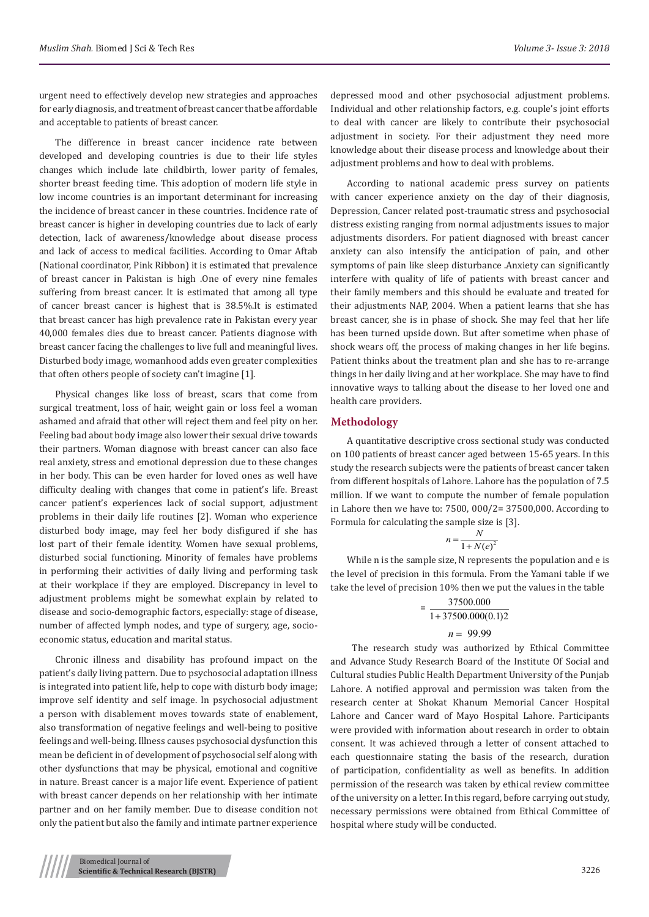urgent need to effectively develop new strategies and approaches for early diagnosis, and treatment of breast cancer that be affordable and acceptable to patients of breast cancer.

The difference in breast cancer incidence rate between developed and developing countries is due to their life styles changes which include late childbirth, lower parity of females, shorter breast feeding time. This adoption of modern life style in low income countries is an important determinant for increasing the incidence of breast cancer in these countries. Incidence rate of breast cancer is higher in developing countries due to lack of early detection, lack of awareness/knowledge about disease process and lack of access to medical facilities. According to Omar Aftab (National coordinator, Pink Ribbon) it is estimated that prevalence of breast cancer in Pakistan is high .One of every nine females suffering from breast cancer. It is estimated that among all type of cancer breast cancer is highest that is 38.5%.It is estimated that breast cancer has high prevalence rate in Pakistan every year 40,000 females dies due to breast cancer. Patients diagnose with breast cancer facing the challenges to live full and meaningful lives. Disturbed body image, womanhood adds even greater complexities that often others people of society can't imagine [1].

Physical changes like loss of breast, scars that come from surgical treatment, loss of hair, weight gain or loss feel a woman ashamed and afraid that other will reject them and feel pity on her. Feeling bad about body image also lower their sexual drive towards their partners. Woman diagnose with breast cancer can also face real anxiety, stress and emotional depression due to these changes in her body. This can be even harder for loved ones as well have difficulty dealing with changes that come in patient's life. Breast cancer patient's experiences lack of social support, adjustment problems in their daily life routines [2]. Woman who experience disturbed body image, may feel her body disfigured if she has lost part of their female identity. Women have sexual problems, disturbed social functioning. Minority of females have problems in performing their activities of daily living and performing task at their workplace if they are employed. Discrepancy in level to adjustment problems might be somewhat explain by related to disease and socio-demographic factors, especially: stage of disease, number of affected lymph nodes, and type of surgery, age, socioeconomic status, education and marital status.

Chronic illness and disability has profound impact on the patient's daily living pattern. Due to psychosocial adaptation illness is integrated into patient life, help to cope with disturb body image; improve self identity and self image. In psychosocial adjustment a person with disablement moves towards state of enablement, also transformation of negative feelings and well-being to positive feelings and well-being. Illness causes psychosocial dysfunction this mean be deficient in of development of psychosocial self along with other dysfunctions that may be physical, emotional and cognitive in nature. Breast cancer is a major life event. Experience of patient with breast cancer depends on her relationship with her intimate partner and on her family member. Due to disease condition not only the patient but also the family and intimate partner experience

According to national academic press survey on patients with cancer experience anxiety on the day of their diagnosis, Depression, Cancer related post-traumatic stress and psychosocial distress existing ranging from normal adjustments issues to major adjustments disorders. For patient diagnosed with breast cancer anxiety can also intensify the anticipation of pain, and other symptoms of pain like sleep disturbance .Anxiety can significantly interfere with quality of life of patients with breast cancer and their family members and this should be evaluate and treated for their adjustments NAP, 2004. When a patient learns that she has breast cancer, she is in phase of shock. She may feel that her life has been turned upside down. But after sometime when phase of shock wears off, the process of making changes in her life begins. Patient thinks about the treatment plan and she has to re-arrange things in her daily living and at her workplace. She may have to find innovative ways to talking about the disease to her loved one and health care providers.

## **Methodology**

A quantitative descriptive cross sectional study was conducted on 100 patients of breast cancer aged between 15-65 years. In this study the research subjects were the patients of breast cancer taken from different hospitals of Lahore. Lahore has the population of 7.5 million. If we want to compute the number of female population in Lahore then we have to: 7500, 000/2= 37500,000. According to Formula for calculating the sample size is [3].

$$
n = \frac{N}{1 + N(e)^2}
$$

While n is the sample size, N represents the population and e is the level of precision in this formula. From the Yamani table if we take the level of precision 10% then we put the values in the table

$$
= \frac{37500.000}{1+37500.000(0.1)2}
$$

$$
n = 99.99
$$

 The research study was authorized by Ethical Committee and Advance Study Research Board of the Institute Of Social and Cultural studies Public Health Department University of the Punjab Lahore. A notified approval and permission was taken from the research center at Shokat Khanum Memorial Cancer Hospital Lahore and Cancer ward of Mayo Hospital Lahore. Participants were provided with information about research in order to obtain consent. It was achieved through a letter of consent attached to each questionnaire stating the basis of the research, duration of participation, confidentiality as well as benefits. In addition permission of the research was taken by ethical review committee of the university on a letter. In this regard, before carrying out study, necessary permissions were obtained from Ethical Committee of hospital where study will be conducted.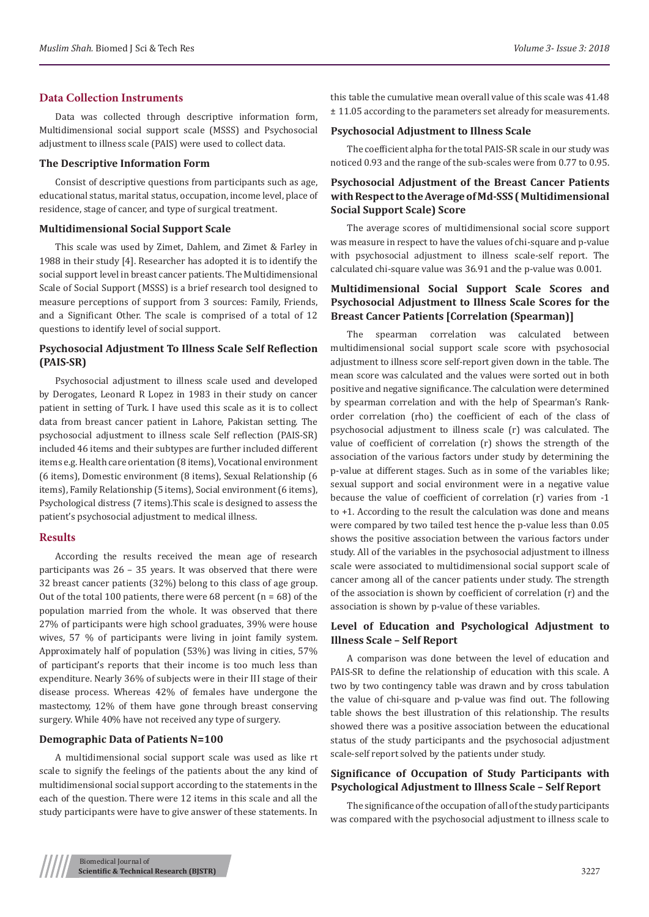#### **Data Collection Instruments**

Data was collected through descriptive information form, Multidimensional social support scale (MSSS) and Psychosocial adjustment to illness scale (PAIS) were used to collect data.

#### **The Descriptive Information Form**

Consist of descriptive questions from participants such as age, educational status, marital status, occupation, income level, place of residence, stage of cancer, and type of surgical treatment.

#### **Multidimensional Social Support Scale**

This scale was used by Zimet, Dahlem, and Zimet & Farley in 1988 in their study [4]. Researcher has adopted it is to identify the social support level in breast cancer patients. The Multidimensional Scale of Social Support (MSSS) is a brief research tool designed to measure perceptions of support from 3 sources: Family, Friends, and a Significant Other. The scale is comprised of a total of 12 questions to identify level of social support.

## **Psychosocial Adjustment To Illness Scale Self Reflection (PAIS-SR)**

Psychosocial adjustment to illness scale used and developed by Derogates, Leonard R Lopez in 1983 in their study on cancer patient in setting of Turk. I have used this scale as it is to collect data from breast cancer patient in Lahore, Pakistan setting. The psychosocial adjustment to illness scale Self reflection (PAIS-SR) included 46 items and their subtypes are further included different items e.g. Health care orientation (8 items), Vocational environment (6 items), Domestic environment (8 items), Sexual Relationship (6 items), Family Relationship (5 items), Social environment (6 items), Psychological distress (7 items).This scale is designed to assess the patient's psychosocial adjustment to medical illness.

#### **Results**

According the results received the mean age of research participants was 26 – 35 years. It was observed that there were 32 breast cancer patients (32%) belong to this class of age group. Out of the total 100 patients, there were 68 percent  $(n = 68)$  of the population married from the whole. It was observed that there 27% of participants were high school graduates, 39% were house wives, 57 % of participants were living in joint family system. Approximately half of population (53%) was living in cities, 57% of participant's reports that their income is too much less than expenditure. Nearly 36% of subjects were in their III stage of their disease process. Whereas 42% of females have undergone the mastectomy, 12% of them have gone through breast conserving surgery. While 40% have not received any type of surgery.

#### **Demographic Data of Patients N=100**

A multidimensional social support scale was used as like rt scale to signify the feelings of the patients about the any kind of multidimensional social support according to the statements in the each of the question. There were 12 items in this scale and all the study participants were have to give answer of these statements. In

this table the cumulative mean overall value of this scale was 41.48 ± 11.05 according to the parameters set already for measurements.

#### **Psychosocial Adjustment to Illness Scale**

The coefficient alpha for the total PAIS-SR scale in our study was noticed 0.93 and the range of the sub-scales were from 0.77 to 0.95.

# **Psychosocial Adjustment of the Breast Cancer Patients with Respect to the Average of Md-SSS ( Multidimensional Social Support Scale) Score**

The average scores of multidimensional social score support was measure in respect to have the values of chi-square and p-value with psychosocial adjustment to illness scale-self report. The calculated chi-square value was 36.91 and the p-value was 0.001.

# **Multidimensional Social Support Scale Scores and Psychosocial Adjustment to Illness Scale Scores for the Breast Cancer Patients [Correlation (Spearman)]**

The spearman correlation was calculated between multidimensional social support scale score with psychosocial adjustment to illness score self-report given down in the table. The mean score was calculated and the values were sorted out in both positive and negative significance. The calculation were determined by spearman correlation and with the help of Spearman's Rankorder correlation (rho) the coefficient of each of the class of psychosocial adjustment to illness scale (r) was calculated. The value of coefficient of correlation (r) shows the strength of the association of the various factors under study by determining the p-value at different stages. Such as in some of the variables like; sexual support and social environment were in a negative value because the value of coefficient of correlation (r) varies from -1 to +1. According to the result the calculation was done and means were compared by two tailed test hence the p-value less than 0.05 shows the positive association between the various factors under study. All of the variables in the psychosocial adjustment to illness scale were associated to multidimensional social support scale of cancer among all of the cancer patients under study. The strength of the association is shown by coefficient of correlation (r) and the association is shown by p-value of these variables.

## **Level of Education and Psychological Adjustment to Illness Scale – Self Report**

A comparison was done between the level of education and PAIS-SR to define the relationship of education with this scale. A two by two contingency table was drawn and by cross tabulation the value of chi-square and p-value was find out. The following table shows the best illustration of this relationship. The results showed there was a positive association between the educational status of the study participants and the psychosocial adjustment scale-self report solved by the patients under study.

## **Significance of Occupation of Study Participants with Psychological Adjustment to Illness Scale – Self Report**

The significance of the occupation of all of the study participants was compared with the psychosocial adjustment to illness scale to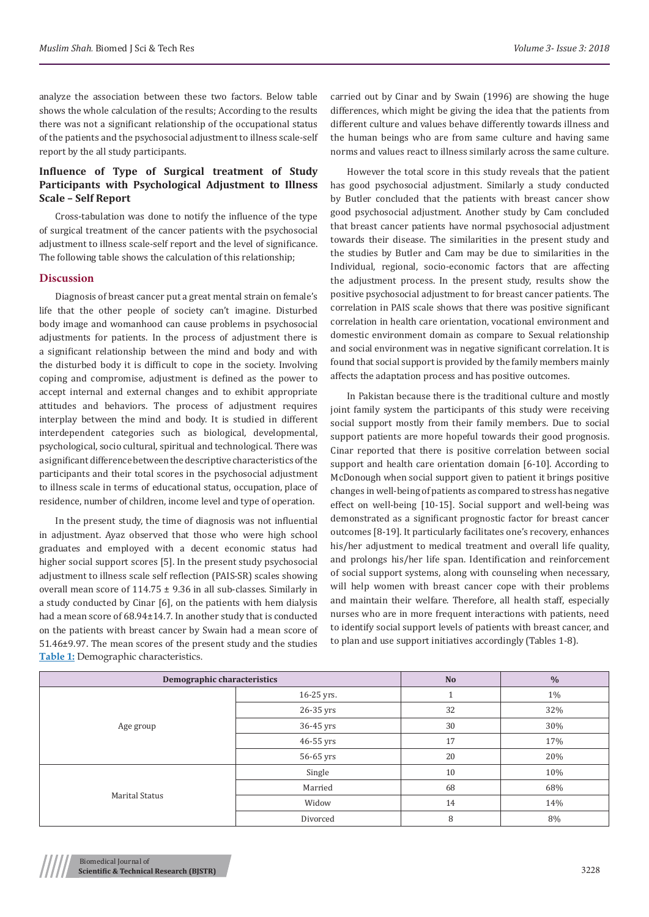analyze the association between these two factors. Below table shows the whole calculation of the results; According to the results there was not a significant relationship of the occupational status of the patients and the psychosocial adjustment to illness scale-self report by the all study participants.

# **Influence of Type of Surgical treatment of Study Participants with Psychological Adjustment to Illness Scale – Self Report**

Cross-tabulation was done to notify the influence of the type of surgical treatment of the cancer patients with the psychosocial adjustment to illness scale-self report and the level of significance. The following table shows the calculation of this relationship;

#### **Discussion**

Diagnosis of breast cancer put a great mental strain on female's life that the other people of society can't imagine. Disturbed body image and womanhood can cause problems in psychosocial adjustments for patients. In the process of adjustment there is a significant relationship between the mind and body and with the disturbed body it is difficult to cope in the society. Involving coping and compromise, adjustment is defined as the power to accept internal and external changes and to exhibit appropriate attitudes and behaviors. The process of adjustment requires interplay between the mind and body. It is studied in different interdependent categories such as biological, developmental, psychological, socio cultural, spiritual and technological. There was a significant difference between the descriptive characteristics of the participants and their total scores in the psychosocial adjustment to illness scale in terms of educational status, occupation, place of residence, number of children, income level and type of operation.

In the present study, the time of diagnosis was not influential in adjustment. Ayaz observed that those who were high school graduates and employed with a decent economic status had higher social support scores [5]. In the present study psychosocial adjustment to illness scale self reflection (PAIS-SR) scales showing overall mean score of 114.75 ± 9.36 in all sub-classes. Similarly in a study conducted by Cinar [6], on the patients with hem dialysis had a mean score of 68.94±14.7. In another study that is conducted on the patients with breast cancer by Swain had a mean score of 51.46±9.97. The mean scores of the present study and the studies **Table 1:** Demographic characteristics.

carried out by Cinar and by Swain (1996) are showing the huge differences, which might be giving the idea that the patients from different culture and values behave differently towards illness and the human beings who are from same culture and having same norms and values react to illness similarly across the same culture.

However the total score in this study reveals that the patient has good psychosocial adjustment. Similarly a study conducted by Butler concluded that the patients with breast cancer show good psychosocial adjustment. Another study by Cam concluded that breast cancer patients have normal psychosocial adjustment towards their disease. The similarities in the present study and the studies by Butler and Cam may be due to similarities in the Individual, regional, socio-economic factors that are affecting the adjustment process. In the present study, results show the positive psychosocial adjustment to for breast cancer patients. The correlation in PAIS scale shows that there was positive significant correlation in health care orientation, vocational environment and domestic environment domain as compare to Sexual relationship and social environment was in negative significant correlation. It is found that social support is provided by the family members mainly affects the adaptation process and has positive outcomes.

In Pakistan because there is the traditional culture and mostly joint family system the participants of this study were receiving social support mostly from their family members. Due to social support patients are more hopeful towards their good prognosis. Cinar reported that there is positive correlation between social support and health care orientation domain [6-10]. According to McDonough when social support given to patient it brings positive changes in well-being of patients as compared to stress has negative effect on well-being [10-15]. Social support and well-being was demonstrated as a significant prognostic factor for breast cancer outcomes [8-19]. It particularly facilitates one's recovery, enhances his/her adjustment to medical treatment and overall life quality, and prolongs his/her life span. Identification and reinforcement of social support systems, along with counseling when necessary, will help women with breast cancer cope with their problems and maintain their welfare. Therefore, all health staff, especially nurses who are in more frequent interactions with patients, need to identify social support levels of patients with breast cancer, and to plan and use support initiatives accordingly (Tables 1-8).

| <b>Demographic characteristics</b> | <b>No</b>  | $\frac{0}{0}$ |     |
|------------------------------------|------------|---------------|-----|
| Age group                          | 16-25 yrs. |               | 1%  |
|                                    | 26-35 yrs  | 32            | 32% |
|                                    | 36-45 yrs  | 30            | 30% |
|                                    | 46-55 yrs  | 17            | 17% |
|                                    | 56-65 yrs  | 20            | 20% |
| <b>Marital Status</b>              | Single     | 10            | 10% |
|                                    | Married    | 68            | 68% |
|                                    | Widow      | 14            | 14% |
|                                    | Divorced   | 8             | 8%  |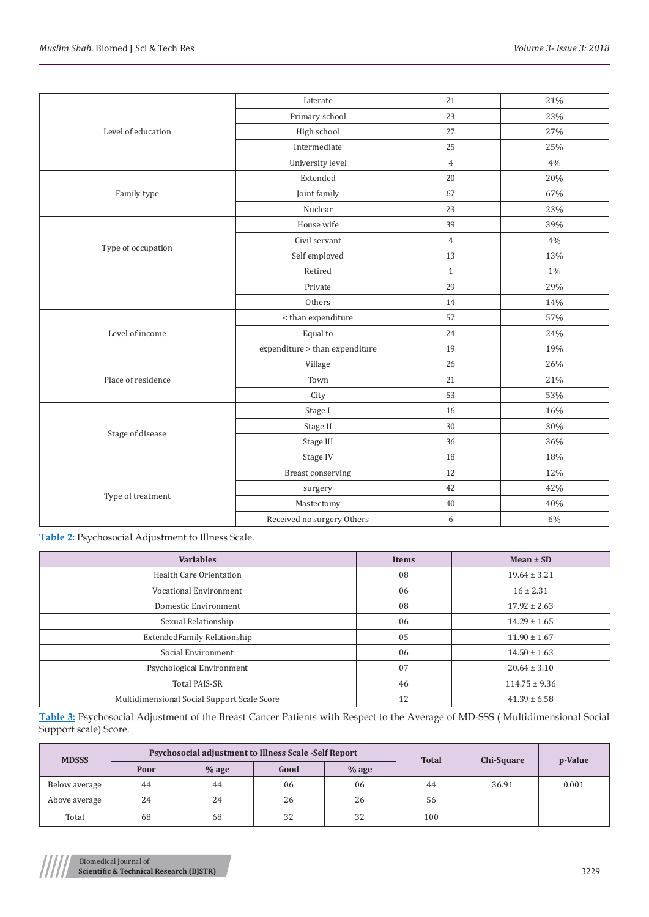| Level of education | Literate                       | 21             | 21%   |
|--------------------|--------------------------------|----------------|-------|
|                    | Primary school                 | 23             | 23%   |
|                    | High school                    | 27             | 27%   |
|                    | Intermediate                   | 25             | 25%   |
|                    | University level               | $\overline{4}$ | 4%    |
|                    | Extended                       | 20             | 20%   |
| Family type        | Joint family                   | 67             | 67%   |
|                    | Nuclear                        | 23             | 23%   |
|                    | House wife                     | 39             | 39%   |
|                    | Civil servant                  | $\overline{4}$ | 4%    |
| Type of occupation | Self employed                  | 13             | 13%   |
|                    | Retired                        | $\mathbf{1}$   | $1\%$ |
|                    | Private                        | 29             | 29%   |
|                    | Others                         | 14             | 14%   |
|                    | < than expenditure             | 57             | 57%   |
| Level of income    | Equal to                       | 24             | 24%   |
|                    | expenditure > than expenditure | 19             | 19%   |
|                    | Village                        | 26             | 26%   |
| Place of residence | Town                           | 21             | 21%   |
|                    | City                           | 53             | 53%   |
|                    | Stage I                        | 16             | 16%   |
|                    | Stage II                       | 30             | 30%   |
| Stage of disease   | Stage III                      | 36             | 36%   |
|                    | Stage IV                       | 18             | 18%   |
| Type of treatment  | <b>Breast conserving</b>       | 12             | 12%   |
|                    | surgery                        | 42             | 42%   |
|                    | Mastectomy                     | 40             | 40%   |
|                    | Received no surgery Others     | 6              | $6\%$ |

**Table 2:** Psychosocial Adjustment to Illness Scale.

| <b>Variables</b>                            | <b>Items</b> | Mean $\pm$ SD     |
|---------------------------------------------|--------------|-------------------|
| Health Care Orientation                     | 08           | $19.64 \pm 3.21$  |
| Vocational Environment                      | 06           | $16 \pm 2.31$     |
| Domestic Environment                        | 08           | $17.92 \pm 2.63$  |
| Sexual Relationship                         | 06           | $14.29 \pm 1.65$  |
| ExtendedFamily Relationship                 | 05           | $11.90 \pm 1.67$  |
| Social Environment                          | 06           | $14.50 \pm 1.63$  |
| Psychological Environment                   | 07           | $20.64 \pm 3.10$  |
| <b>Total PAIS-SR</b>                        | 46           | $114.75 \pm 9.36$ |
| Multidimensional Social Support Scale Score | 12           | $41.39 \pm 6.58$  |

**Table 3:** Psychosocial Adjustment of the Breast Cancer Patients with Respect to the Average of MD-SSS ( Multidimensional Social Support scale) Score.

| <b>MDSSS</b>  |      | Psychosocial adjustment to Illness Scale -Self Report |      | <b>Total</b> | Chi-Square | p-Value |       |
|---------------|------|-------------------------------------------------------|------|--------------|------------|---------|-------|
|               | Poor | $%$ age                                               | Good | $%$ age      |            |         |       |
| Below average | 44   | 44                                                    | 06   | 06           | 44         | 36.91   | 0.001 |
| Above average | 24   | 24                                                    | 26   | 26           | 56         |         |       |
| Total         | 68   | 68                                                    | 32   | 32           | 100        |         |       |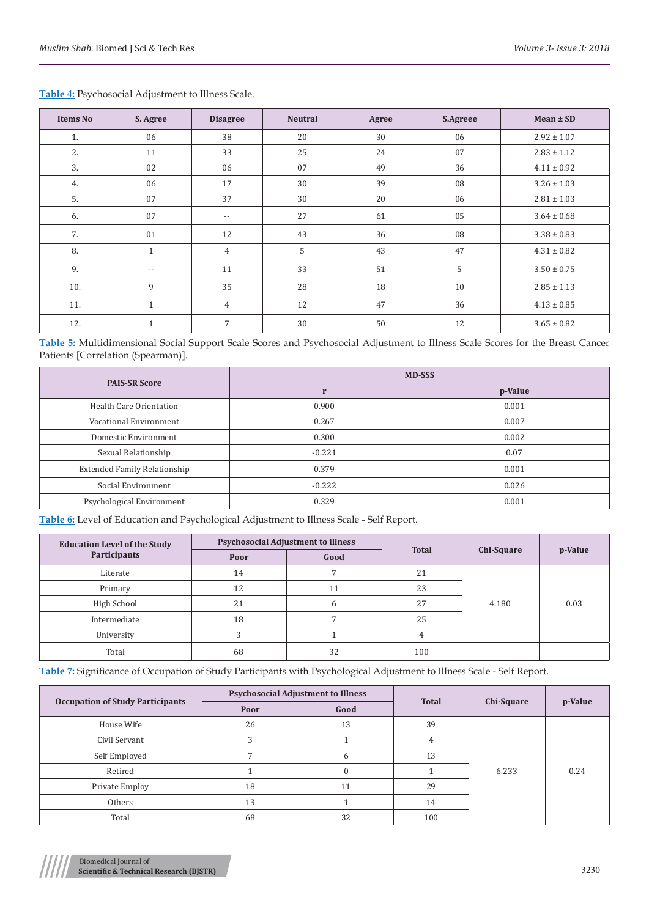| <b>Items No</b> | S. Agree                 | <b>Disagree</b> | <b>Neutral</b> | Agree | <b>S.Agreee</b> | $Mean \pm SD$   |
|-----------------|--------------------------|-----------------|----------------|-------|-----------------|-----------------|
| 1.              | 06                       | 38              | 20             | 30    | 06              | $2.92 \pm 1.07$ |
| 2.              | 11                       | 33              | 25             | 24    | 07              | $2.83 \pm 1.12$ |
| 3.              | 02                       | 06              | 07             | 49    | 36              | $4.11 \pm 0.92$ |
| 4.              | 06                       | 17              | 30             | 39    | 08              | $3.26 \pm 1.03$ |
| 5.              | 07                       | 37              | 30             | 20    | 06              | $2.81 \pm 1.03$ |
| 6.              | 07                       | $ -$            | 27             | 61    | 05              | $3.64 \pm 0.68$ |
| 7.              | 01                       | 12              | 43             | 36    | 08              | $3.38 \pm 0.83$ |
| 8.              | $\mathbf{1}$             | $\overline{4}$  | 5              | 43    | 47              | $4.31 \pm 0.82$ |
| 9.              | $\overline{\phantom{m}}$ | 11              | 33             | 51    | 5               | $3.50 \pm 0.75$ |
| 10.             | 9                        | 35              | 28             | 18    | 10              | $2.85 \pm 1.13$ |
| 11.             | $\mathbf{1}$             | $\overline{4}$  | 12             | 47    | 36              | $4.13 \pm 0.85$ |
| 12.             | $\mathbf{1}$             | 7               | 30             | 50    | 12              | $3.65 \pm 0.82$ |

# **Table 4:** Psychosocial Adjustment to Illness Scale.

**Table 5:** Multidimensional Social Support Scale Scores and Psychosocial Adjustment to Illness Scale Scores for the Breast Cancer Patients [Correlation (Spearman)].

| <b>PAIS-SR Score</b>                | <b>MD-SSS</b> |         |  |  |
|-------------------------------------|---------------|---------|--|--|
|                                     |               | p-Value |  |  |
| Health Care Orientation             | 0.900         | 0.001   |  |  |
| Vocational Environment              | 0.267         | 0.007   |  |  |
| Domestic Environment                | 0.300         | 0.002   |  |  |
| Sexual Relationship                 | $-0.221$      | 0.07    |  |  |
| <b>Extended Family Relationship</b> | 0.379         | 0.001   |  |  |
| Social Environment                  | $-0.222$      | 0.026   |  |  |
| Psychological Environment           | 0.329         | 0.001   |  |  |

**Table 6:** Level of Education and Psychological Adjustment to Illness Scale - Self Report.

| <b>Education Level of the Study</b> |      | <b>Psychosocial Adjustment to illness</b> | <b>Total</b> |            | p-Value |
|-------------------------------------|------|-------------------------------------------|--------------|------------|---------|
| Participants                        | Poor | Good                                      |              | Chi-Square |         |
| Literate                            | 14   |                                           | 21           | 4.180      | 0.03    |
| Primary                             | 12   | $\pm 1$                                   | 23           |            |         |
| High School                         | 21   | h                                         | 27           |            |         |
| Intermediate                        | 18   |                                           | 25           |            |         |
| University                          |      |                                           |              |            |         |
| Total                               | 68   | 32                                        | 100          |            |         |

**Table 7:** Significance of Occupation of Study Participants with Psychological Adjustment to Illness Scale - Self Report.

| <b>Occupation of Study Participants</b> | <b>Psychosocial Adjustment to Illness</b> |          |              |                   | p-Value |
|-----------------------------------------|-------------------------------------------|----------|--------------|-------------------|---------|
|                                         | Poor                                      | Good     | <b>Total</b> | <b>Chi-Square</b> |         |
| House Wife                              | 26                                        | 13       | 39           | 6.233             | 0.24    |
| Civil Servant                           | 3                                         |          |              |                   |         |
| Self Employed                           |                                           | 6        | 13           |                   |         |
| Retired                                 |                                           | $\Omega$ |              |                   |         |
| Private Employ                          | 18                                        | 11       | 29           |                   |         |
| Others                                  | 13                                        |          | 14           |                   |         |
| Total                                   | 68                                        | 32       | 100          |                   |         |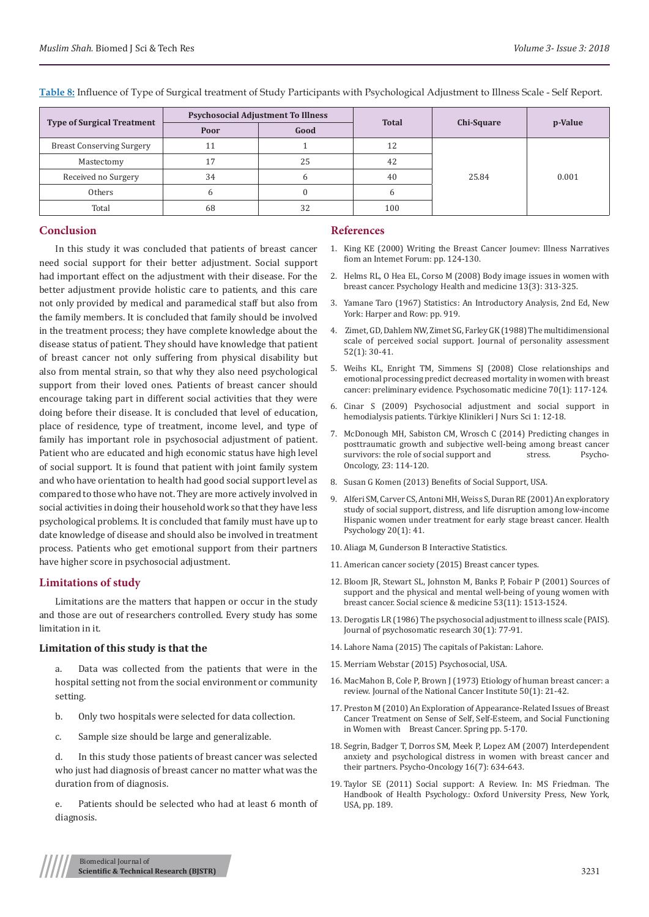| <b>Type of Surgical Treatment</b> | <b>Psychosocial Adjustment To Illness</b> |      | <b>Total</b> | Chi-Square | p-Value |
|-----------------------------------|-------------------------------------------|------|--------------|------------|---------|
|                                   | Poor                                      | Good |              |            |         |
| <b>Breast Conserving Surgery</b>  | 11                                        |      | 12           | 25.84      | 0.001   |
| Mastectomy                        | 17                                        | 25   | 42           |            |         |
| Received no Surgery               | 34                                        |      | 40           |            |         |
| Others                            | h                                         |      | n            |            |         |
| Total                             | 68                                        | 32   | 100          |            |         |

**Table 8:** Influence of Type of Surgical treatment of Study Participants with Psychological Adjustment to Illness Scale - Self Report.

### **Conclusion**

In this study it was concluded that patients of breast cancer need social support for their better adjustment. Social support had important effect on the adjustment with their disease. For the better adjustment provide holistic care to patients, and this care not only provided by medical and paramedical staff but also from the family members. It is concluded that family should be involved in the treatment process; they have complete knowledge about the disease status of patient. They should have knowledge that patient of breast cancer not only suffering from physical disability but also from mental strain, so that why they also need psychological support from their loved ones. Patients of breast cancer should encourage taking part in different social activities that they were doing before their disease. It is concluded that level of education, place of residence, type of treatment, income level, and type of family has important role in psychosocial adjustment of patient. Patient who are educated and high economic status have high level of social support. It is found that patient with joint family system and who have orientation to health had good social support level as compared to those who have not. They are more actively involved in social activities in doing their household work so that they have less psychological problems. It is concluded that family must have up to date knowledge of disease and should also be involved in treatment process. Patients who get emotional support from their partners have higher score in psychosocial adjustment.

#### **Limitations of study**

Limitations are the matters that happen or occur in the study and those are out of researchers controlled. Every study has some limitation in it.

### **Limitation of this study is that the**

- a. Data was collected from the patients that were in the hospital setting not from the social environment or community setting.
- b. Only two hospitals were selected for data collection.
- c. Sample size should be large and generalizable.

d. In this study those patients of breast cancer was selected who just had diagnosis of breast cancer no matter what was the duration from of diagnosis.

e. Patients should be selected who had at least 6 month of diagnosis.

#### **References**

- 1. [King KE \(2000\) Writing the Breast Cancer Joumev: Illness Narratives](http://research.library.mun.ca/1407/) [fiom an Intemet Forum: pp. 124-130.](http://research.library.mun.ca/1407/)
- 2. [Helms RL, O Hea EL, Corso M \(2008\) Body image issues in women with](https://www.ncbi.nlm.nih.gov/pubmed/18569899) [breast cancer. Psychology Health and medicine 13\(3\): 313-325.](https://www.ncbi.nlm.nih.gov/pubmed/18569899)
- 3. [Yamane Taro \(1967\) Statistics: An Introductory Analysis, 2nd Ed, New](https://catalogue.nla.gov.au/Record/1136113) [York: Harper and Row: pp. 919.](https://catalogue.nla.gov.au/Record/1136113)
- 4. [Zimet, GD, Dahlem NW, Zimet SG, Farley GK \(1988\) The multidimensional](http://www.yorku.ca/rokada/psyctest/socsupp.pdf) [scale of perceived social support. Journal of personality assessment](http://www.yorku.ca/rokada/psyctest/socsupp.pdf) [52\(1\): 30-41.](http://www.yorku.ca/rokada/psyctest/socsupp.pdf)
- 5. [Weihs KL, Enright TM, Simmens SJ \(2008\) Close relationships and](https://www.ncbi.nlm.nih.gov/pubmed/18158376) [emotional processing predict decreased mortality in women with breast](https://www.ncbi.nlm.nih.gov/pubmed/18158376) [cancer: preliminary evidence. Psychosomatic medicine 70\(1\): 117-124.](https://www.ncbi.nlm.nih.gov/pubmed/18158376)
- 6. [Cinar S \(2009\) Psychosocial adjustment and social support in](http://www.turkiyeklinikleri.com/article/en-psychosocial-adjustment-and-social-support-in-hemodialysis-patients-53420.html) [hemodialysis patients. Türkiye Klinikleri J Nurs Sci 1: 12-18.](http://www.turkiyeklinikleri.com/article/en-psychosocial-adjustment-and-social-support-in-hemodialysis-patients-53420.html)
- 7. [McDonough MH, Sabiston CM, Wrosch C \(2014\) Predicting changes in](https://www.ncbi.nlm.nih.gov/pubmed/23983131) [posttraumatic growth and subjective well-being among breast cancer](https://www.ncbi.nlm.nih.gov/pubmed/23983131) survivors: the role of social support and [Oncology, 23: 114-120.](https://www.ncbi.nlm.nih.gov/pubmed/23983131)
- 8. [Susan G Komen \(2013\) Benefits of Social Support, USA.](https://ww5.komen.org/)
- 9. [Alferi SM, Carver CS, Antoni MH, Weiss S, Duran RE \(2001\) An exploratory](https://www.ncbi.nlm.nih.gov/pubmed/11199065) [study of social support, distress, and life disruption among low-income](https://www.ncbi.nlm.nih.gov/pubmed/11199065) [Hispanic women under treatment for early stage breast cancer. Health](https://www.ncbi.nlm.nih.gov/pubmed/11199065) [Psychology 20\(1\): 41.](https://www.ncbi.nlm.nih.gov/pubmed/11199065)
- 10. Aliaga M, Gunderson B Interactive Statistics.
- 11. [American cancer society \(2015\) Breast cancer types.](https://www.cancer.org/cancer/breast-cancer/understanding-a-breast-cancer-diagnosis.html)
- 12. [Bloom JR, Stewart SL, Johnston M, Banks P, Fobair P \(2001\) Sources of](https://www.ncbi.nlm.nih.gov/pubmed/11710426) [support and the physical and mental well-being of young women with](https://www.ncbi.nlm.nih.gov/pubmed/11710426) [breast cancer. Social science & medicine 53\(11\): 1513-1524.](https://www.ncbi.nlm.nih.gov/pubmed/11710426)
- 13. [Derogatis LR \(1986\) The psychosocial adjustment to illness scale \(PAIS\).](https://www.ncbi.nlm.nih.gov/pubmed/3701670) [Journal of psychosomatic research 30\(1\): 77-91.](https://www.ncbi.nlm.nih.gov/pubmed/3701670)
- 14. [Lahore Nama \(2015\) The capitals of Pakistan: Lahore.](https://lahorenama.wordpress.com/2014/09/19/the-capitals-of-pakistan-lahore/)
- 15. [Merriam Webstar \(2015\) Psychosocial, USA.](https://www.merriam-webster.com/contact-us)
- 16. [MacMahon B, Cole P, Brown J \(1973\) Etiology of human breast cancer: a](https://academic.oup.com/jnci/article-abstract/50/1/21/926518) [review. Journal of the National Cancer Institute 50\(1\): 21-42.](https://academic.oup.com/jnci/article-abstract/50/1/21/926518)
- 17. [Preston M \(2010\) An Exploration of Appearance-Related Issues of Breast](https://repository.upenn.edu/cgi/viewcontent.cgi?article=1012&context=edissertations_sp2) [Cancer Treatment on Sense of Self, Self-Esteem, and Social Functioning](https://repository.upenn.edu/cgi/viewcontent.cgi?article=1012&context=edissertations_sp2) [in Women with Breast Cancer. Spring pp. 5-170.](https://repository.upenn.edu/cgi/viewcontent.cgi?article=1012&context=edissertations_sp2)
- 18. [Segrin, Badger T, Dorros SM, Meek P, Lopez AM \(2007\) Interdependent](https://www.ncbi.nlm.nih.gov/pubmed/17094160) [anxiety and psychological distress in women with breast cancer and](https://www.ncbi.nlm.nih.gov/pubmed/17094160) [their partners. Psycho‐Oncology 16\(7\): 634-643.](https://www.ncbi.nlm.nih.gov/pubmed/17094160)
- 19. [Taylor SE \(2011\) Social support: A Review. In: MS Friedman. The](http://www.oxfordhandbooks.com/view/10.1093/oxfordhb/9780195342819.001.0001/oxfordhb-9780195342819-e-009) [Handbook of Health Psychology.: Oxford University Press, New York,](http://www.oxfordhandbooks.com/view/10.1093/oxfordhb/9780195342819.001.0001/oxfordhb-9780195342819-e-009) [USA, pp. 189.](http://www.oxfordhandbooks.com/view/10.1093/oxfordhb/9780195342819.001.0001/oxfordhb-9780195342819-e-009)